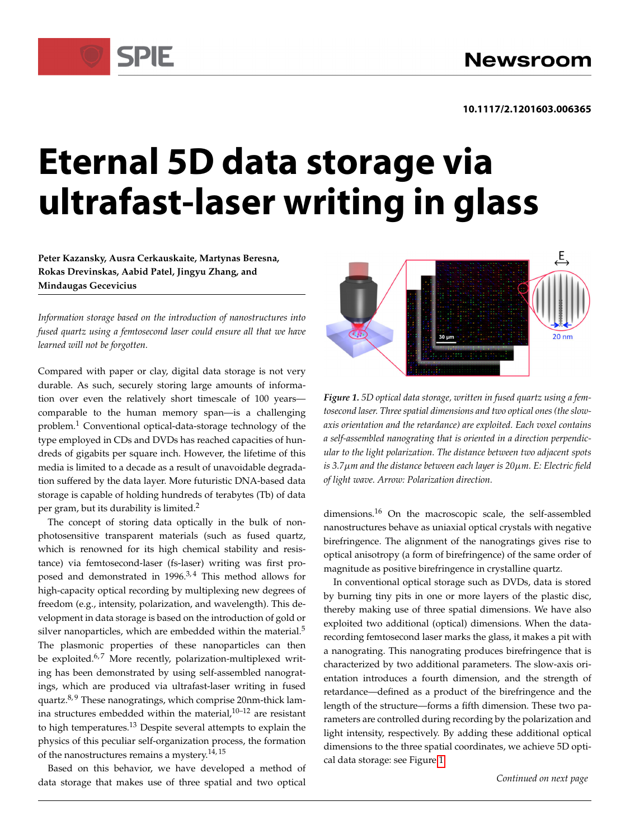# **Eternal 5D data storage via ultrafast-laser writing in glass**

**Peter Kazansky, Ausra Cerkauskaite, Martynas Beresna, Rokas Drevinskas, Aabid Patel, Jingyu Zhang, and Mindaugas Gecevicius**

SPIF

*Information storage based on the introduction of nanostructures into fused quartz using a femtosecond laser could ensure all that we have learned will not be forgotten.*

Compared with paper or clay, digital data storage is not very durable. As such, securely storing large amounts of information over even the relatively short timescale of 100 years comparable to the human memory span—is a challenging problem.<sup>1</sup> Conventional optical-data-storage technology of the type employed in CDs and DVDs has reached capacities of hundreds of gigabits per square inch. However, the lifetime of this media is limited to a decade as a result of unavoidable degradation suffered by the data layer. More futuristic DNA-based data storage is capable of holding hundreds of terabytes (Tb) of data per gram, but its durability is limited.<sup>2</sup>

The concept of storing data optically in the bulk of nonphotosensitive transparent materials (such as fused quartz, which is renowned for its high chemical stability and resistance) via femtosecond-laser (fs-laser) writing was first proposed and demonstrated in  $1996.^{3,4}$  This method allows for high-capacity optical recording by multiplexing new degrees of freedom (e.g., intensity, polarization, and wavelength). This development in data storage is based on the introduction of gold or silver nanoparticles, which are embedded within the material. $5$ The plasmonic properties of these nanoparticles can then be exploited. $6.7$  More recently, polarization-multiplexed writing has been demonstrated by using self-assembled nanogratings, which are produced via ultrafast-laser writing in fused quartz.<sup>8, 9</sup> These nanogratings, which comprise 20nm-thick lamina structures embedded within the material, $10-12$  are resistant to high temperatures.<sup>13</sup> Despite several attempts to explain the physics of this peculiar self-organization process, the formation of the nanostructures remains a mystery.<sup>14,15</sup>

Based on this behavior, we have developed a method of data storage that makes use of three spatial and two optical



<span id="page-0-0"></span>*Figure 1. 5D optical data storage, written in fused quartz using a femtosecond laser. Three spatial dimensions and two optical ones (the slowaxis orientation and the retardance) are exploited. Each voxel contains a self-assembled nanograting that is oriented in a direction perpendicular to the light polarization. The distance between two adjacent spots is 3.7m and the distance between each layer is 20m. E: Electric field of light wave. Arrow: Polarization direction.*

dimensions.<sup>16</sup> On the macroscopic scale, the self-assembled nanostructures behave as uniaxial optical crystals with negative birefringence. The alignment of the nanogratings gives rise to optical anisotropy (a form of birefringence) of the same order of magnitude as positive birefringence in crystalline quartz.

In conventional optical storage such as DVDs, data is stored by burning tiny pits in one or more layers of the plastic disc, thereby making use of three spatial dimensions. We have also exploited two additional (optical) dimensions. When the datarecording femtosecond laser marks the glass, it makes a pit with a nanograting. This nanograting produces birefringence that is characterized by two additional parameters. The slow-axis orientation introduces a fourth dimension, and the strength of retardance—defined as a product of the birefringence and the length of the structure—forms a fifth dimension. These two parameters are controlled during recording by the polarization and light intensity, respectively. By adding these additional optical dimensions to the three spatial coordinates, we achieve 5D optical data storage: see Figure [1.](#page-0-0)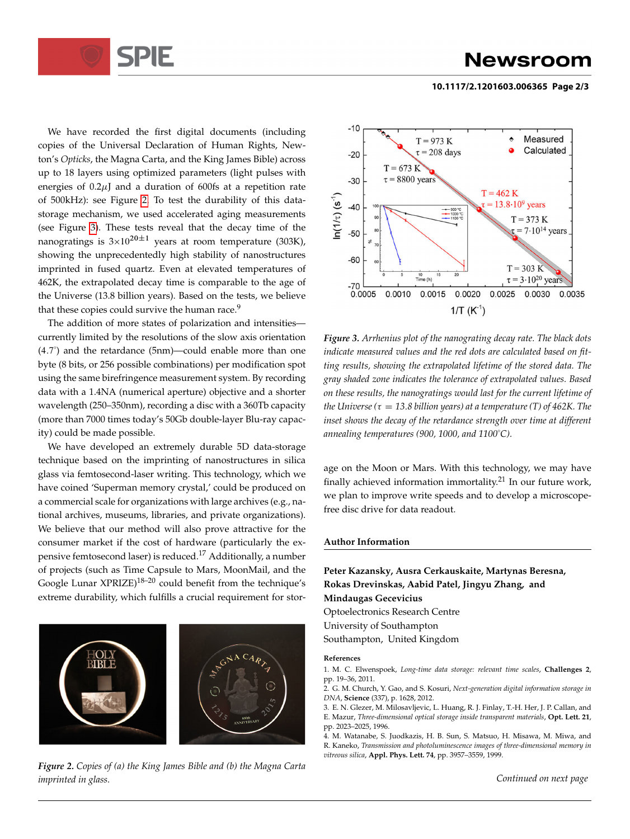

### **Newsroom**

#### **10.1117/2.1201603.006365 Page 2/3**

We have recorded the first digital documents (including copies of the Universal Declaration of Human Rights, Newton's *Opticks*, the Magna Carta, and the King James Bible) across up to 18 layers using optimized parameters (light pulses with energies of  $0.2\mu$  and a duration of 600fs at a repetition rate of 500kHz): see Figure [2.](#page-1-0) To test the durability of this datastorage mechanism, we used accelerated aging measurements (see Figure [3\)](#page-1-1). These tests reveal that the decay time of the nanogratings is  $3\times10^{20\pm1}$  years at room temperature (303K), showing the unprecedentedly high stability of nanostructures imprinted in fused quartz. Even at elevated temperatures of 462K, the extrapolated decay time is comparable to the age of the Universe (13.8 billion years). Based on the tests, we believe that these copies could survive the human race.<sup>9</sup>

The addition of more states of polarization and intensities currently limited by the resolutions of the slow axis orientation (4:7◦ ) and the retardance (5nm)—could enable more than one byte (8 bits, or 256 possible combinations) per modification spot using the same birefringence measurement system. By recording data with a 1.4NA (numerical aperture) objective and a shorter wavelength (250–350nm), recording a disc with a 360Tb capacity (more than 7000 times today's 50Gb double-layer Blu-ray capacity) could be made possible.

We have developed an extremely durable 5D data-storage technique based on the imprinting of nanostructures in silica glass via femtosecond-laser writing. This technology, which we have coined 'Superman memory crystal,' could be produced on a commercial scale for organizations with large archives (e.g., national archives, museums, libraries, and private organizations). We believe that our method will also prove attractive for the consumer market if the cost of hardware (particularly the expensive femtosecond laser) is reduced.<sup>17</sup> Additionally, a number of projects (such as Time Capsule to Mars, MoonMail, and the Google Lunar XPRIZE)<sup>18-20</sup> could benefit from the technique's extreme durability, which fulfills a crucial requirement for stor-



<span id="page-1-0"></span>*Figure 2. Copies of (a) the King James Bible and (b) the Magna Carta imprinted in glass.*



<span id="page-1-1"></span>*Figure 3. Arrhenius plot of the nanograting decay rate. The black dots indicate measured values and the red dots are calculated based on fitting results, showing the extrapolated lifetime of the stored data. The gray shaded zone indicates the tolerance of extrapolated values. Based on these results, the nanogratings would last for the current lifetime of the Universe (* $\tau = 13.8$  *billion years) at a temperature (T) of 462K. The inset shows the decay of the retardance strength over time at different annealing temperatures (900, 1000, and 1100*◦*C).*

age on the Moon or Mars. With this technology, we may have finally achieved information immortality.<sup>21</sup> In our future work, we plan to improve write speeds and to develop a microscopefree disc drive for data readout.

#### **Author Information**

**Peter Kazansky, Ausra Cerkauskaite, Martynas Beresna, Rokas Drevinskas, Aabid Patel, Jingyu Zhang, and Mindaugas Gecevicius** Optoelectronics Research Centre University of Southampton Southampton, United Kingdom **References**

1. M. C. Elwenspoek, *Long-time data storage: relevant time scales*, **Challenges 2**, pp. 19–36, 2011.

2. G. M. Church, Y. Gao, and S. Kosuri, *Next-generation digital information storage in DNA*, **Science** (337), p. 1628, 2012.

3. E. N. Glezer, M. Milosavljevic, L. Huang, R. J. Finlay, T.-H. Her, J. P. Callan, and E. Mazur, *Three-dimensional optical storage inside transparent materials*, **Opt. Lett. 21**, pp. 2023–2025, 1996.

4. M. Watanabe, S. Juodkazis, H. B. Sun, S. Matsuo, H. Misawa, M. Miwa, and R. Kaneko, *Transmission and photoluminescence images of three-dimensional memory in vitreous silica*, **Appl. Phys. Lett. 74**, pp. 3957–3559, 1999.

*Continued on next page*